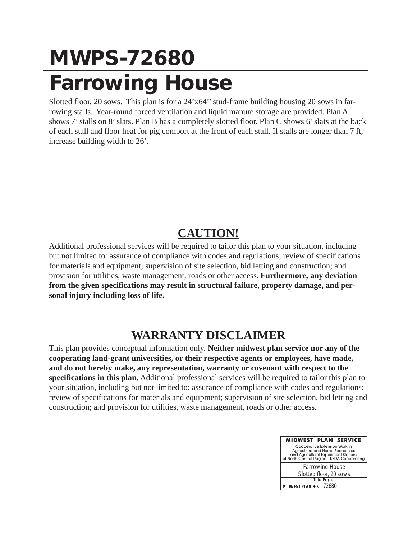## **MWPS-72680 Farrowing House**

Slotted floor, 20 sows. This plan is for a 24'x64'' stud-frame building housing 20 sows in farrowing stalls. Year-round forced ventilation and liquid manure storage are provided. Plan A shows 7' stalls on 8' slats. Plan B has a completely slotted floor. Plan C shows 6' slats at the back of each stall and floor heat for pig comport at the front of each stall. If stalls are longer than 7 ft, increase building width to 26'.

### **CAUTION!**

Additional professional services will be required to tailor this plan to your situation, including but not limited to: assurance of compliance with codes and regulations; review of specifications for materials and equipment; supervision of site selection, bid letting and construction; and provision for utilities, waste management, roads or other access. **Furthermore, any deviation from the given specifications may result in structural failure, property damage, and personal injury including loss of life.**

### **WARRANTY DISCLAIMER**

This plan provides conceptual information only. **Neither midwest plan service nor any of the cooperating land-grant universities, or their respective agents or employees, have made, and do not hereby make, any representation, warranty or covenant with respect to the specifications in this plan.** Additional professional services will be required to tailor this plan to your situation, including but not limited to: assurance of compliance with codes and regulations; review of specifications for materials and equipment; supervision of site selection, bid letting and construction; and provision for utilities, waste management, roads or other access.

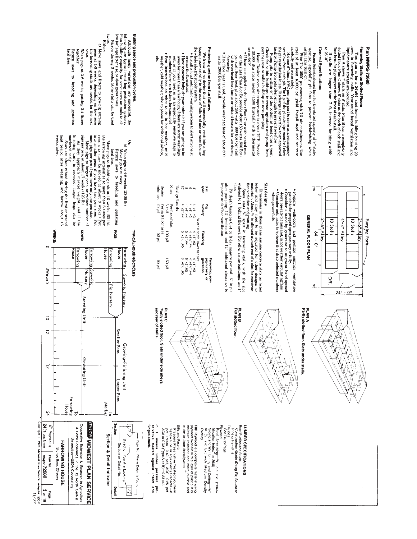# **Plan MWPS-72680**

# Farrowing Stalls on Slotted Floors

- This plan is for a 24 x64' stud-frame building housing 20 years in farrowing stalls. Vear-round forced ventilation and
- liquid manure storage are provided.<br>Plan A shows  $T$  stalls on 8' slats. Plan B has a completely<br>slotted floor. Plan C shows 6' slats at the back of each stall and
- floor heat for pig comport at the front of each stall.
- If stalls are longer than 7 ft, increase building width to  $26^{\circ} \cdot 0$ .
- General Specifications

- **Fans:** Select exhaust fans for the stated capacity at  $\mathbb{W}^*$  static ressure, especially pit fans to prevent backdrafting when arger fans turn on.
- steel of at least 40,000 psi yield. Install steel Pits: Use 3500 psi concrete with 7% air entrainment. Use and concrete
- carefully and accurately<br>correlow from each pt. The lip of the plastic ppe mats be below<br>overflow from each pt. The lip of the plastic ppe mats be below<br>the pit ventilation inlets. Discharge any overflow to an approved<br>fa
- 
- **Heat:** Desired room air temperature is about  $72^{\circ}$ F. Provide a  $30,000$ . Btu space heater (1500 Btu/stall) with a thermostat port nearest to solids buildup at next pumping.
- set at 68°F  $\bullet$  If heat is supplied in the floor  $\mathbb P$  an  $\mathbb O$  or with heated mass per stall floor heat, plus about 250 watts (\$60 Blu) per stall for perchanging the stall for the street plus about 250 watts (\$60 Blu) per stall f
- If no floor heat is used, provide overhead heat of about 600 watts (2000 Btu) per stall larrowing.

# Protecting swine from fan failure.

- We know of no device that will successfully ventilate a hogen and the case of failure of one or more fans or  $\log$
- the whole electric supply system. · Install a loud automatic warning system to alert anyone at or near the farmstead.
- $\bullet$  Have some<br>one baby-sit your anymitmals if you are going to be  $\bullet$  and<br> $\bullet$  on the final straight of the set of the straight of<br> $\bullet$  for  $\uparrow$  fyour herd is in an especially sensitive stage to<br> $\bullet$  Paut her of treewb
- 

columns Beams.

50 pH<br>Per sq ft floor area<br>35 psf<br>35 psf

 $1800$ 

 $10001$ 

160er Jsd<sub>9</sub>

g



- Prepare walk-doors and perhaps summer ventilation
- panels to be propped open part way or fully.<br>The straight of the proped open part way or fully.<br>doors: operate pit flars and, in hot weather-circulating fans.<br>Consider automatic telephone that dials selected numbers when power fails.

## Slat designs

- Dimensions in these plans assume concrete slats as listed below and may need to be adjusted for other designs or interface About  $V_i$  is allowed at each end of a slat for construction interfacts. then variation and grouting.<br>Space slats  $\frac{W}{N}$  apart
- slots Space slats  $\%$  apart in farrowing stalls, with the slot widened to I'' behind the sows. For other swine buildings, use  $1$ "

Pit depth based on 0.54 cu ft/day manure per stall,  $6$ ' in pit after pumping,  $12^{\circ}$  freeboard, and  $12^{\circ}$  additional clearance to improve underfloor ventilation.

| <b>Pros</b><br>Siat | uursery<br>ទី    | <b>Finishing</b>                     | gestation<br>Farrowing, sow-<br>pig nursery, or |
|---------------------|------------------|--------------------------------------|-------------------------------------------------|
|                     |                  | --- Width x depth. lower bar size--- |                                                 |
| $\rightarrow$       | $x = 25$         | C# PX P                              | $4 \times 4 = 23$                               |
|                     | 54.78            | 4 x4 // #4                           | <b>P# 4 74</b>                                  |
| $\infty$            | $p = 1$          | ŏ,<br>Ħ                              | $5*5*9$                                         |
| ಕ                   | 74.544           | $5*75$                               | S# /9x.9                                        |
| Design Loads        |                  |                                      |                                                 |
| Shats               | Per foot of slat |                                      |                                                 |

 $\vec{Q}$  or  $\vec{Q}$ 



## $\overrightarrow{)}$ x. X 建筑



and rear of stalls. PLAN C<br>Partly slotted floor. Slats under side alleys

Sills and Fascia

Pressure Preservative Treated (Southern<br>Yellow Pine or equivalent) Creosote—8<br>pcf, Penta—0.40 pcf, ACC—0.25 pcf.<br>ACA or CCA (Type A or B)—0.23 pcf.

**FRP Plywood** is a composite material using<br>molsture resistant and moler of plastic it is<br>molsture resistant and moler of plastic it is<br>easier to clean than plywood."

Plywood<br>Roof Sheathing—∦⊮ c-c Ext ("Iden-<br>tification Index" = 20/0)

Siding and Wall Lining and Ceiling— $y_i^{\omega}$ <br>or  $\begin{bmatrix} y_i^{\omega} & c \cdot c & \text{Ext} \end{bmatrix}$  with Medium Density

Overlay

LLnases

See Truss Page

Root Purlins and Studs<br>Construction Grade (Doug Fir, Southern<br>\_\_ Pine or Hem Fir) LUMBER SPECIFICATIONS



Although many variations are successful, the following many variations are successful, the following expectly for some extra annals to allow for large litter size, or slow growth rate. There is the set of the specify for

Or:<br>b) Wean pigs at 4-6 weeks (20-25 lb)

facilities. Move pigs to nursery. Keturn

sows to breeding and

gestating

**PIGS:** 

House

Ви моло

Pig Nursery

House

arrowing

Sow-Pig Nursery

Smaller Pens

Larger Pens

Market

 $\overline{a}$ 

Section & Detail Indicator

Section

 $\overline{\mathcal{I}^{(1)}}$ 

Direction You Are Looking  $\frac{1}{2}$ Page No. Where Detail is Found

Section or Detail No.

Detail

iungus attack P. T. means lumber<br>servative treated agai

mber pressure<br>against insect

p.e<br>P

Growing-Finishing Unit

**TYPICAL HOUSING CYCLES** 

**Either** 

a) Move sows and litters to sow-pig nursing pension of the farrowing stalls are needed for the next the farrowing stalls are needed for the next

Wean pigs at 3-6 weeks, putting 3-4 litters SMOS<sup>.</sup>

together. breeding and

Return sows to gestation

facilities

Sows are often rebred during the first or second heat period after weaning, and farrow about 16 weeks later.

As Wore pigs to finishing unit at 10 weeks 660 lb. (As Wore pigs to finishing unit at 10 weeks 660 lb. (year, pigs may be moved at about 8 weeks.) Put muon smaller pens if you have two pen sizes. Put muon smaller pens if

**SOMOS** 

BUIMOUL

How-Fig

**Breeding Unit** 

**Gestating Unit** 

Farrowing

 $\overline{\circ}$ 

Cooperative Extension & Research in Agriculture **INVISS MIDWEST PLAN SERVICE** 

& Home Economics in the 12 North

Central

Universities-USDA Cooperating

FARROWING HOUSE

Slotted floor, 20 sows mwps-72680 Plan No.

House

**Farrowing**<br>House House

finishing unit is crowded, larger hogs can<br>marketed early.

WEEKS:

 $\epsilon$ 

**3Wean 5** 

 $\overline{\circ}$ 

 $\overline{5}$ 

 $\overline{u}$ 

44

Copyright 24<sup>'</sup>Truss Sheet 8 Pages plus

1978 Midwest Plan Service, Ames M. 30011<br>11/77

 $\frac{1}{2}$  of 10

್ಯ<br>ಇತಿ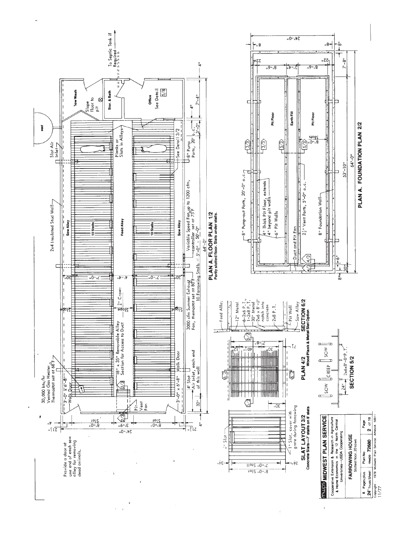

 $\ddot{\phantom{a}}$ 

 $\lambda$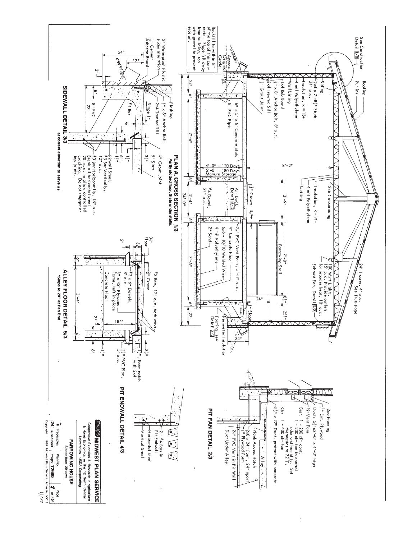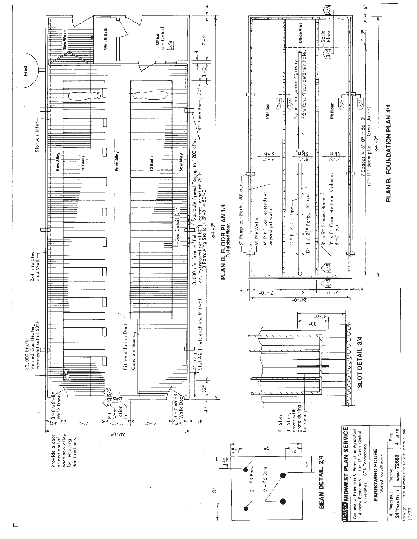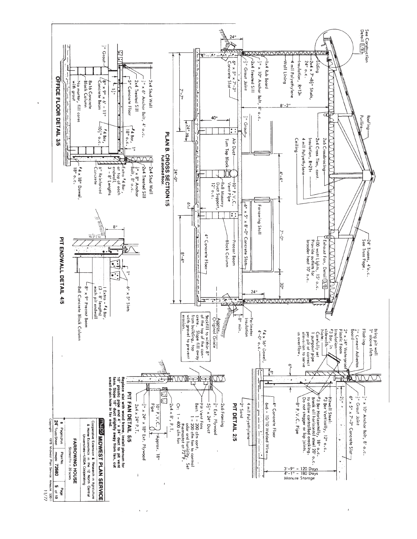

 $11/77$ 

 $\bar{t}$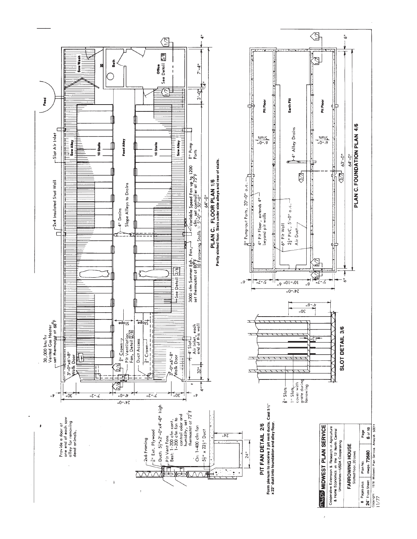

 $\hat{z}$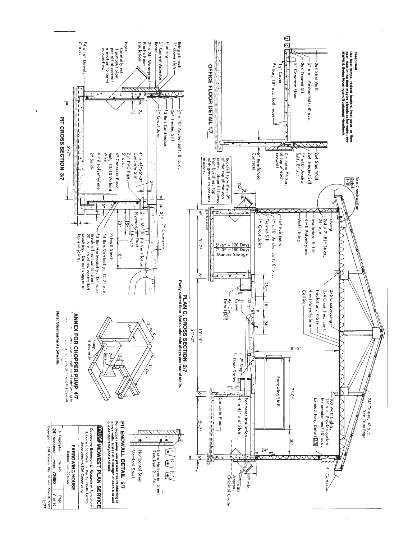